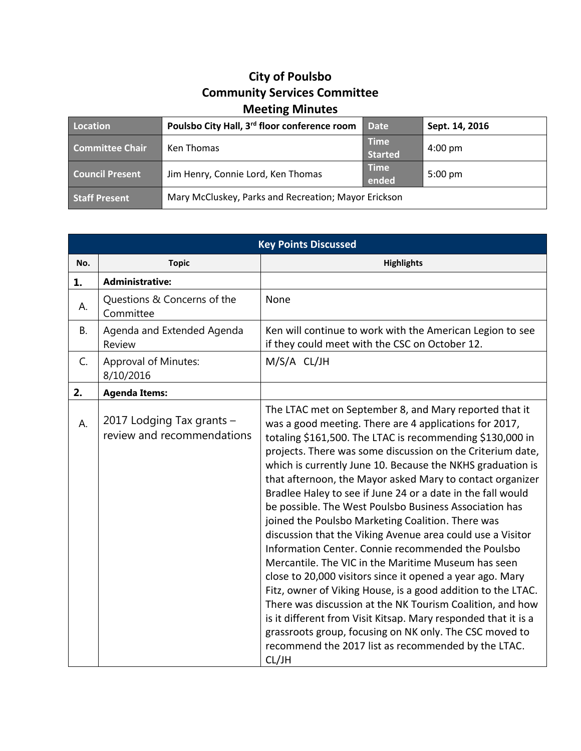## **City of Poulsbo Community Services Committee Meeting Minutes**

| Location               | Poulsbo City Hall, 3rd floor conference room         | <b>Date</b>                   | Sept. 14, 2016    |
|------------------------|------------------------------------------------------|-------------------------------|-------------------|
| <b>Committee Chair</b> | Ken Thomas                                           | <b>Time</b><br><b>Started</b> | $4:00 \text{ pm}$ |
| <b>Council Present</b> | Jim Henry, Connie Lord, Ken Thomas                   | <b>Time</b><br>ended          | $5:00 \text{ pm}$ |
| <b>Staff Present</b>   | Mary McCluskey, Parks and Recreation; Mayor Erickson |                               |                   |

| <b>Key Points Discussed</b> |                                                         |                                                                                                                                                                                                                                                                                                                                                                                                                                                                                                                                                                                                                                                                                                                                                                                                                                                                                                                                                                                                                                                                                                                        |  |  |
|-----------------------------|---------------------------------------------------------|------------------------------------------------------------------------------------------------------------------------------------------------------------------------------------------------------------------------------------------------------------------------------------------------------------------------------------------------------------------------------------------------------------------------------------------------------------------------------------------------------------------------------------------------------------------------------------------------------------------------------------------------------------------------------------------------------------------------------------------------------------------------------------------------------------------------------------------------------------------------------------------------------------------------------------------------------------------------------------------------------------------------------------------------------------------------------------------------------------------------|--|--|
| No.                         | <b>Topic</b>                                            | <b>Highlights</b>                                                                                                                                                                                                                                                                                                                                                                                                                                                                                                                                                                                                                                                                                                                                                                                                                                                                                                                                                                                                                                                                                                      |  |  |
| 1.                          | <b>Administrative:</b>                                  |                                                                                                                                                                                                                                                                                                                                                                                                                                                                                                                                                                                                                                                                                                                                                                                                                                                                                                                                                                                                                                                                                                                        |  |  |
| А.                          | Questions & Concerns of the<br>Committee                | None                                                                                                                                                                                                                                                                                                                                                                                                                                                                                                                                                                                                                                                                                                                                                                                                                                                                                                                                                                                                                                                                                                                   |  |  |
| <b>B.</b>                   | Agenda and Extended Agenda<br>Review                    | Ken will continue to work with the American Legion to see<br>if they could meet with the CSC on October 12.                                                                                                                                                                                                                                                                                                                                                                                                                                                                                                                                                                                                                                                                                                                                                                                                                                                                                                                                                                                                            |  |  |
| C.                          | <b>Approval of Minutes:</b><br>8/10/2016                | M/S/A CL/JH                                                                                                                                                                                                                                                                                                                                                                                                                                                                                                                                                                                                                                                                                                                                                                                                                                                                                                                                                                                                                                                                                                            |  |  |
| 2.                          | <b>Agenda Items:</b>                                    |                                                                                                                                                                                                                                                                                                                                                                                                                                                                                                                                                                                                                                                                                                                                                                                                                                                                                                                                                                                                                                                                                                                        |  |  |
| А.                          | 2017 Lodging Tax grants -<br>review and recommendations | The LTAC met on September 8, and Mary reported that it<br>was a good meeting. There are 4 applications for 2017,<br>totaling \$161,500. The LTAC is recommending \$130,000 in<br>projects. There was some discussion on the Criterium date,<br>which is currently June 10. Because the NKHS graduation is<br>that afternoon, the Mayor asked Mary to contact organizer<br>Bradlee Haley to see if June 24 or a date in the fall would<br>be possible. The West Poulsbo Business Association has<br>joined the Poulsbo Marketing Coalition. There was<br>discussion that the Viking Avenue area could use a Visitor<br>Information Center. Connie recommended the Poulsbo<br>Mercantile. The VIC in the Maritime Museum has seen<br>close to 20,000 visitors since it opened a year ago. Mary<br>Fitz, owner of Viking House, is a good addition to the LTAC.<br>There was discussion at the NK Tourism Coalition, and how<br>is it different from Visit Kitsap. Mary responded that it is a<br>grassroots group, focusing on NK only. The CSC moved to<br>recommend the 2017 list as recommended by the LTAC.<br>CL/JH |  |  |